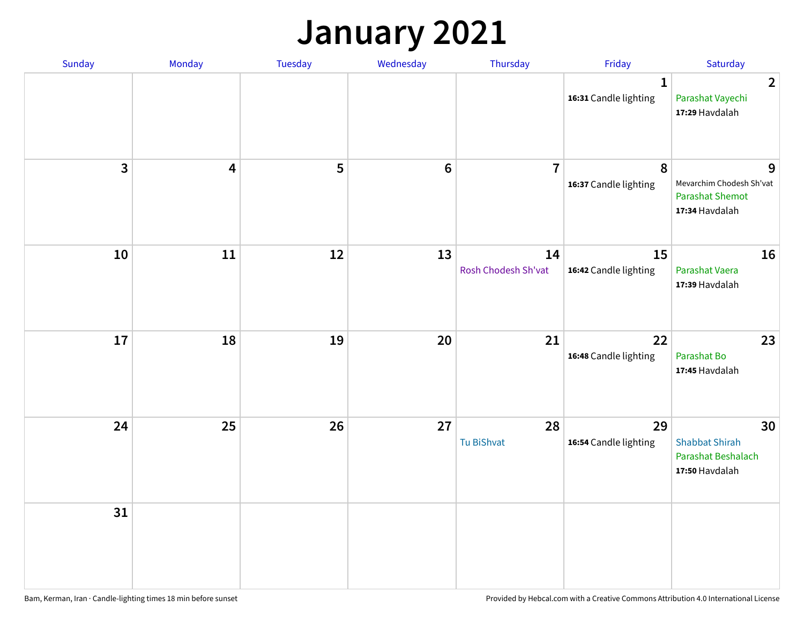### **January 2021**

| Sunday                  | Monday                  | <b>Tuesday</b> | Wednesday | Thursday                  | Friday                                | Saturday                                                                  |
|-------------------------|-------------------------|----------------|-----------|---------------------------|---------------------------------------|---------------------------------------------------------------------------|
|                         |                         |                |           |                           | $\mathbf{1}$<br>16:31 Candle lighting | $\overline{2}$<br>Parashat Vayechi<br>17:29 Havdalah                      |
| $\overline{\mathbf{3}}$ | $\overline{\mathbf{4}}$ | 5              | $\bf 6$   | $\overline{7}$            | 8<br>16:37 Candle lighting            | 9<br>Mevarchim Chodesh Sh'vat<br><b>Parashat Shemot</b><br>17:34 Havdalah |
| 10                      | 11                      | 12             | 13        | 14<br>Rosh Chodesh Sh'vat | 15<br>16:42 Candle lighting           | 16<br>Parashat Vaera<br>17:39 Havdalah                                    |
| 17                      | 18                      | 19             | 20        | 21                        | 22<br>16:48 Candle lighting           | 23<br>Parashat Bo<br>17:45 Havdalah                                       |
| 24                      | 25                      | 26             | 27        | 28<br>Tu BiShvat          | 29<br>16:54 Candle lighting           | 30<br><b>Shabbat Shirah</b><br>Parashat Beshalach<br>17:50 Havdalah       |
| 31                      |                         |                |           |                           |                                       |                                                                           |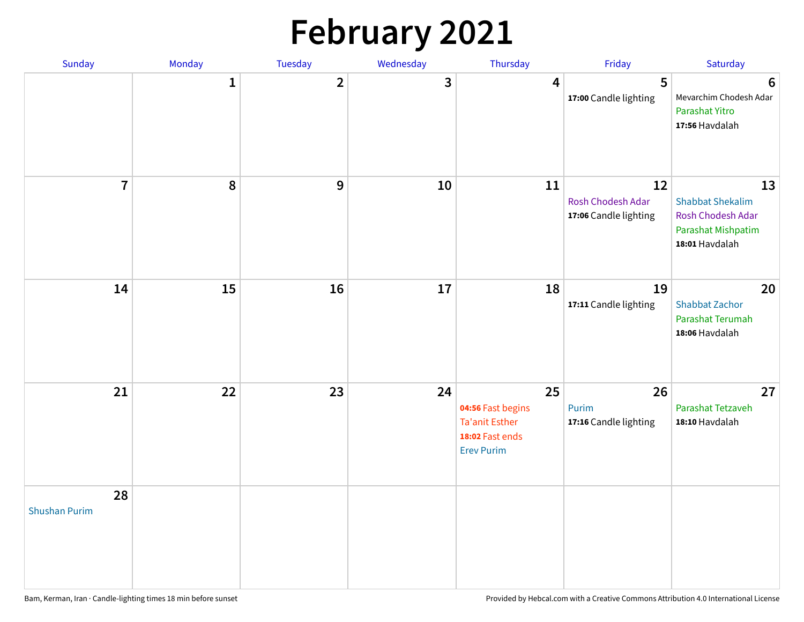# **February 2021**

| Sunday                     | Monday       | Tuesday        | Wednesday | Thursday                                                                                 | Friday                                           | Saturday                                                                                   |
|----------------------------|--------------|----------------|-----------|------------------------------------------------------------------------------------------|--------------------------------------------------|--------------------------------------------------------------------------------------------|
|                            | $\mathbf{1}$ | $\overline{2}$ | 3         | 4                                                                                        | 5<br>17:00 Candle lighting                       | $6\phantom{1}6$<br>Mevarchim Chodesh Adar<br>Parashat Yitro<br>17:56 Havdalah              |
| $\overline{7}$             | $\pmb{8}$    | 9              | 10        | 11                                                                                       | 12<br>Rosh Chodesh Adar<br>17:06 Candle lighting | 13<br><b>Shabbat Shekalim</b><br>Rosh Chodesh Adar<br>Parashat Mishpatim<br>18:01 Havdalah |
| 14                         | 15           | 16             | 17        | 18                                                                                       | 19<br>17:11 Candle lighting                      | 20<br><b>Shabbat Zachor</b><br>Parashat Terumah<br>18:06 Havdalah                          |
| 21                         | 22           | 23             | 24        | 25<br>04:56 Fast begins<br><b>Ta'anit Esther</b><br>18:02 Fast ends<br><b>Erev Purim</b> | 26<br>Purim<br>17:16 Candle lighting             | 27<br>Parashat Tetzaveh<br>18:10 Havdalah                                                  |
| 28<br><b>Shushan Purim</b> |              |                |           |                                                                                          |                                                  |                                                                                            |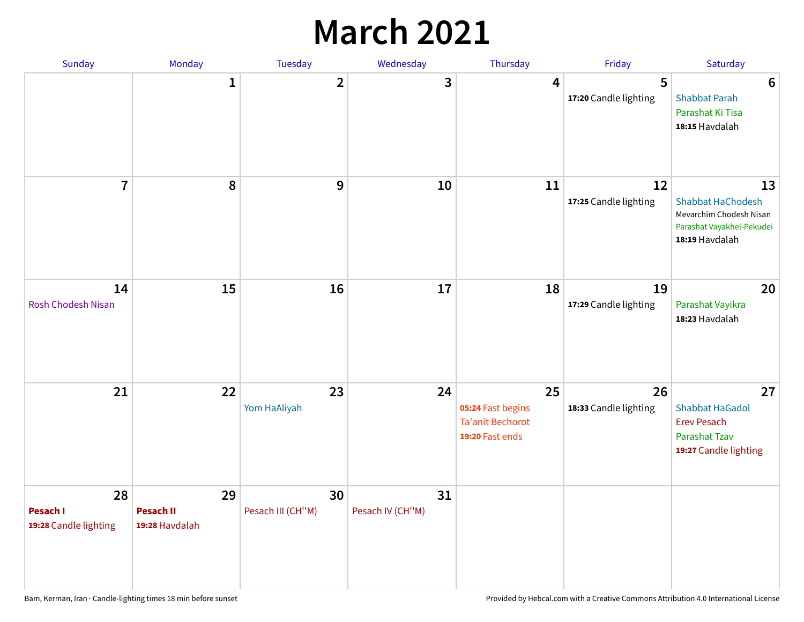### **March 2021**

| Sunday                                  | Monday                                   | Tuesday                 | Wednesday              | Thursday                                                              | Friday                      | Saturday                                                                                                 |
|-----------------------------------------|------------------------------------------|-------------------------|------------------------|-----------------------------------------------------------------------|-----------------------------|----------------------------------------------------------------------------------------------------------|
|                                         | $\mathbf{1}$                             | $\overline{2}$          | 3                      | 4                                                                     | 5<br>17:20 Candle lighting  | 6<br><b>Shabbat Parah</b><br>Parashat Ki Tisa<br>18:15 Havdalah                                          |
| $\overline{7}$                          | 8                                        | 9                       | 10                     | 11                                                                    | 12<br>17:25 Candle lighting | 13<br><b>Shabbat HaChodesh</b><br>Mevarchim Chodesh Nisan<br>Parashat Vayakhel-Pekudei<br>18:19 Havdalah |
| 14<br><b>Rosh Chodesh Nisan</b>         | 15                                       | 16                      | 17                     | 18                                                                    | 19<br>17:29 Candle lighting | 20<br>Parashat Vayikra<br>18:23 Havdalah                                                                 |
| 21                                      | 22                                       | 23<br>Yom HaAliyah      | 24                     | 25<br>05:24 Fast begins<br><b>Ta'anit Bechorot</b><br>19:20 Fast ends | 26<br>18:33 Candle lighting | 27<br><b>Shabbat HaGadol</b><br><b>Erev Pesach</b><br><b>Parashat Tzav</b><br>19:27 Candle lighting      |
| 28<br>Pesach I<br>19:28 Candle lighting | 29<br><b>Pesach II</b><br>19:28 Havdalah | 30<br>Pesach III (CH"M) | 31<br>Pesach IV (CH"M) |                                                                       |                             |                                                                                                          |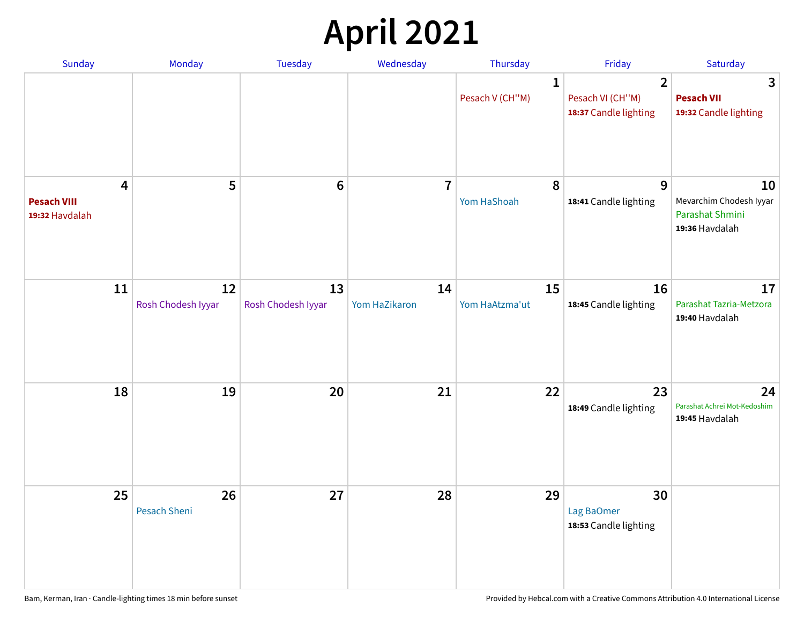# **April 2021**

| Sunday                                    | Monday                    | Tuesday                  | Wednesday           | Thursday                        | Friday                                                      | Saturday                                                           |
|-------------------------------------------|---------------------------|--------------------------|---------------------|---------------------------------|-------------------------------------------------------------|--------------------------------------------------------------------|
|                                           |                           |                          |                     | $\mathbf{1}$<br>Pesach V (CH"M) | $\overline{2}$<br>Pesach VI (CH"M)<br>18:37 Candle lighting | 3<br><b>Pesach VII</b><br>19:32 Candle lighting                    |
| 4<br><b>Pesach VIII</b><br>19:32 Havdalah | 5                         | $6\phantom{1}6$          | $\overline{7}$      | 8<br>Yom HaShoah                | 9<br>18:41 Candle lighting                                  | 10<br>Mevarchim Chodesh Iyyar<br>Parashat Shmini<br>19:36 Havdalah |
| 11                                        | 12<br>Rosh Chodesh Iyyar  | 13<br>Rosh Chodesh Iyyar | 14<br>Yom HaZikaron | 15<br>Yom HaAtzma'ut            | 16<br>18:45 Candle lighting                                 | 17<br>Parashat Tazria-Metzora<br>19:40 Havdalah                    |
| 18                                        | 19                        | 20                       | 21                  | 22                              | 23<br>18:49 Candle lighting                                 | 24<br>Parashat Achrei Mot-Kedoshim<br>19:45 Havdalah               |
| 25                                        | 26<br><b>Pesach Sheni</b> | 27                       | 28                  | 29                              | 30<br>Lag BaOmer<br>18:53 Candle lighting                   |                                                                    |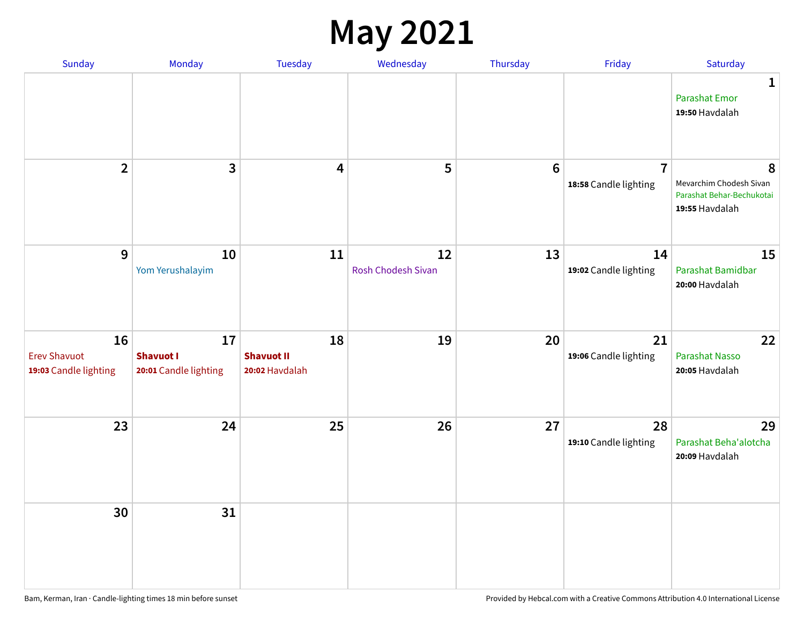#### **May 2021**

| Sunday                                             | Monday                                          | <b>Tuesday</b>                            | Wednesday                       | Thursday        | Friday                                  | Saturday                                                                    |
|----------------------------------------------------|-------------------------------------------------|-------------------------------------------|---------------------------------|-----------------|-----------------------------------------|-----------------------------------------------------------------------------|
|                                                    |                                                 |                                           |                                 |                 |                                         | 1<br><b>Parashat Emor</b><br>19:50 Havdalah                                 |
| $\overline{2}$                                     | $\overline{3}$                                  | $\overline{\mathbf{4}}$                   | 5                               | $6\phantom{1}6$ | $\overline{7}$<br>18:58 Candle lighting | 8<br>Mevarchim Chodesh Sivan<br>Parashat Behar-Bechukotai<br>19:55 Havdalah |
| 9                                                  | 10<br>Yom Yerushalayim                          | 11                                        | 12<br><b>Rosh Chodesh Sivan</b> | 13              | 14<br>19:02 Candle lighting             | 15<br>Parashat Bamidbar<br>20:00 Havdalah                                   |
| 16<br><b>Erev Shavuot</b><br>19:03 Candle lighting | 17<br><b>Shavuot I</b><br>20:01 Candle lighting | 18<br><b>Shavuot II</b><br>20:02 Havdalah | 19                              | 20              | 21<br>19:06 Candle lighting             | 22<br><b>Parashat Nasso</b><br>20:05 Havdalah                               |
| 23                                                 | 24                                              | 25                                        | 26                              | 27              | 28<br>19:10 Candle lighting             | 29<br>Parashat Beha'alotcha<br>20:09 Havdalah                               |
| 30                                                 | 31                                              |                                           |                                 |                 |                                         |                                                                             |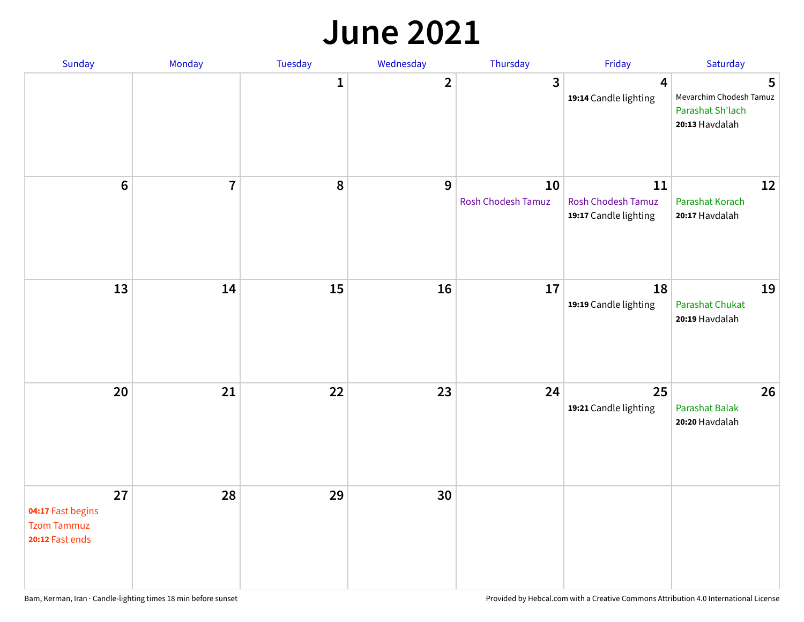#### **June 2021**

| Sunday                                                           | Monday         | Tuesday      | Wednesday    | Thursday                 | Friday                                                   | Saturday                                                           |
|------------------------------------------------------------------|----------------|--------------|--------------|--------------------------|----------------------------------------------------------|--------------------------------------------------------------------|
|                                                                  |                | $\mathbf{1}$ | $\mathbf{2}$ | $\mathbf{3}$             | $\overline{\mathbf{4}}$<br>19:14 Candle lighting         | 5<br>Mevarchim Chodesh Tamuz<br>Parashat Sh'lach<br>20:13 Havdalah |
| $6\,$                                                            | $\overline{7}$ | 8            | 9            | 10<br>Rosh Chodesh Tamuz | 11<br><b>Rosh Chodesh Tamuz</b><br>19:17 Candle lighting | 12<br><b>Parashat Korach</b><br>20:17 Havdalah                     |
| 13                                                               | 14             | 15           | 16           | 17                       | 18<br>19:19 Candle lighting                              | 19<br><b>Parashat Chukat</b><br>20:19 Havdalah                     |
| 20                                                               | 21             | 22           | 23           | 24                       | 25<br>19:21 Candle lighting                              | 26<br><b>Parashat Balak</b><br>20:20 Havdalah                      |
| 27<br>04:17 Fast begins<br><b>Tzom Tammuz</b><br>20:12 Fast ends | 28             | 29           | 30           |                          |                                                          |                                                                    |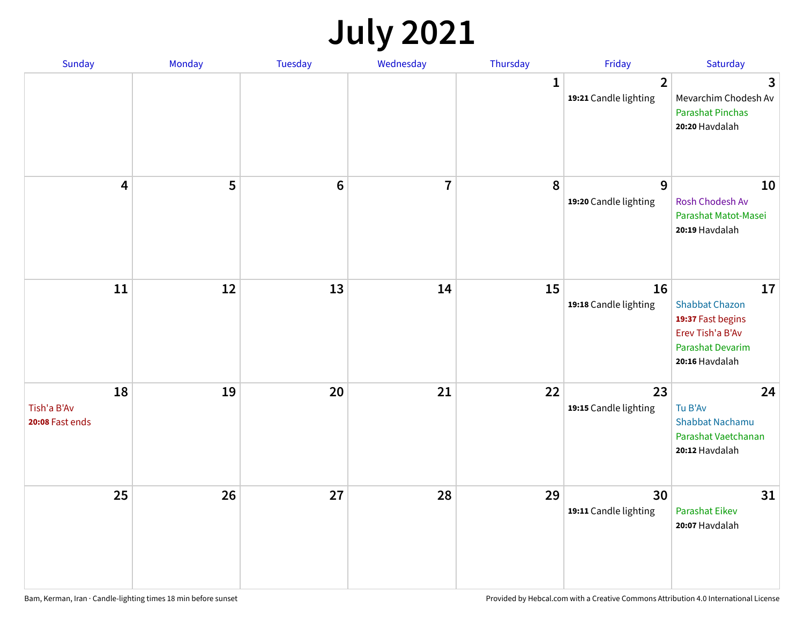## **July 2021**

| Sunday                               | Monday | Tuesday        | Wednesday      | Thursday     | Friday                                  | Saturday                                                                                                          |
|--------------------------------------|--------|----------------|----------------|--------------|-----------------------------------------|-------------------------------------------------------------------------------------------------------------------|
|                                      |        |                |                | $\mathbf{1}$ | $\overline{2}$<br>19:21 Candle lighting | 3<br>Mevarchim Chodesh Av<br><b>Parashat Pinchas</b><br>20:20 Havdalah                                            |
| 4                                    | 5      | $6\phantom{1}$ | $\overline{7}$ | 8            | 9<br>19:20 Candle lighting              | 10<br>Rosh Chodesh Av<br>Parashat Matot-Masei<br>20:19 Havdalah                                                   |
| $11\,$                               | 12     | 13             | 14             | 15           | 16<br>19:18 Candle lighting             | 17<br><b>Shabbat Chazon</b><br>19:37 Fast begins<br>Erev Tish'a B'Av<br><b>Parashat Devarim</b><br>20:16 Havdalah |
| 18<br>Tish'a B'Av<br>20:08 Fast ends | 19     | 20             | 21             | 22           | 23<br>19:15 Candle lighting             | 24<br>Tu B'Av<br><b>Shabbat Nachamu</b><br>Parashat Vaetchanan<br>20:12 Havdalah                                  |
| 25                                   | 26     | 27             | 28             | 29           | 30<br>19:11 Candle lighting             | 31<br><b>Parashat Eikev</b><br>20:07 Havdalah                                                                     |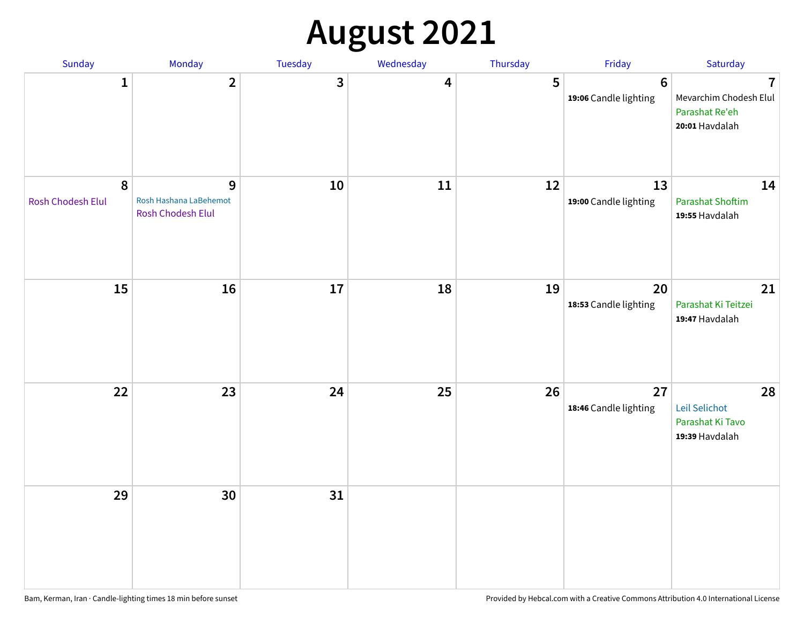# **August 2021**

| Sunday                                | Monday                                                  | Tuesday    | Wednesday | Thursday | Friday                                  | Saturday                                                                     |
|---------------------------------------|---------------------------------------------------------|------------|-----------|----------|-----------------------------------------|------------------------------------------------------------------------------|
| $\mathbf{1}$                          | $\overline{2}$                                          | 3          | 4         | 5        | $6\phantom{1}$<br>19:06 Candle lighting | $\overline{1}$<br>Mevarchim Chodesh Elul<br>Parashat Re'eh<br>20:01 Havdalah |
| $\boldsymbol{8}$<br>Rosh Chodesh Elul | 9<br>Rosh Hashana LaBehemot<br><b>Rosh Chodesh Elul</b> | ${\bf 10}$ | 11        | 12       | 13<br>19:00 Candle lighting             | 14<br><b>Parashat Shoftim</b><br>19:55 Havdalah                              |
| 15                                    | 16                                                      | 17         | 18        | 19       | 20<br>18:53 Candle lighting             | 21<br>Parashat Ki Teitzei<br>19:47 Havdalah                                  |
| 22                                    | 23                                                      | 24         | 25        | 26       | 27<br>18:46 Candle lighting             | 28<br>Leil Selichot<br>Parashat Ki Tavo<br>19:39 Havdalah                    |
| 29                                    | 30                                                      | 31         |           |          |                                         |                                                                              |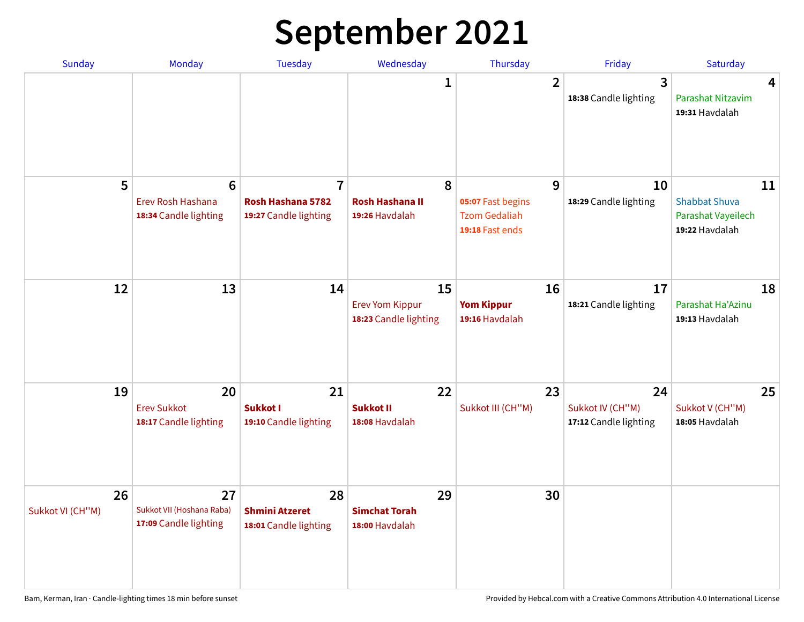# **September 2021**

| <b>Sunday</b>          | <b>Monday</b>                                                 | <b>Tuesday</b>                                               | Wednesday                                             | Thursday                                                          | Friday                                          | Saturday                                                           |
|------------------------|---------------------------------------------------------------|--------------------------------------------------------------|-------------------------------------------------------|-------------------------------------------------------------------|-------------------------------------------------|--------------------------------------------------------------------|
|                        |                                                               |                                                              | 1                                                     | $\overline{2}$                                                    | 3<br>18:38 Candle lighting                      | 4<br>Parashat Nitzavim<br>19:31 Havdalah                           |
| 5                      | $6\phantom{1}6$<br>Erev Rosh Hashana<br>18:34 Candle lighting | $\overline{7}$<br>Rosh Hashana 5782<br>19:27 Candle lighting | 8<br><b>Rosh Hashana II</b><br>19:26 Havdalah         | 9<br>05:07 Fast begins<br><b>Tzom Gedaliah</b><br>19:18 Fast ends | 10<br>18:29 Candle lighting                     | 11<br><b>Shabbat Shuva</b><br>Parashat Vayeilech<br>19:22 Havdalah |
| 12                     | 13                                                            | 14                                                           | 15<br><b>Erev Yom Kippur</b><br>18:23 Candle lighting | 16<br><b>Yom Kippur</b><br>19:16 Havdalah                         | 17<br>18:21 Candle lighting                     | 18<br>Parashat Ha'Azinu<br>19:13 Havdalah                          |
| 19                     | 20<br><b>Erev Sukkot</b><br>18:17 Candle lighting             | 21<br><b>Sukkot I</b><br>19:10 Candle lighting               | 22<br><b>Sukkot II</b><br>18:08 Havdalah              | 23<br>Sukkot III (CH"M)                                           | 24<br>Sukkot IV (CH"M)<br>17:12 Candle lighting | 25<br>Sukkot V (CH"M)<br>18:05 Havdalah                            |
| 26<br>Sukkot VI (CH"M) | 27<br>Sukkot VII (Hoshana Raba)<br>17:09 Candle lighting      | 28<br><b>Shmini Atzeret</b><br>18:01 Candle lighting         | 29<br><b>Simchat Torah</b><br>18:00 Havdalah          | 30                                                                |                                                 |                                                                    |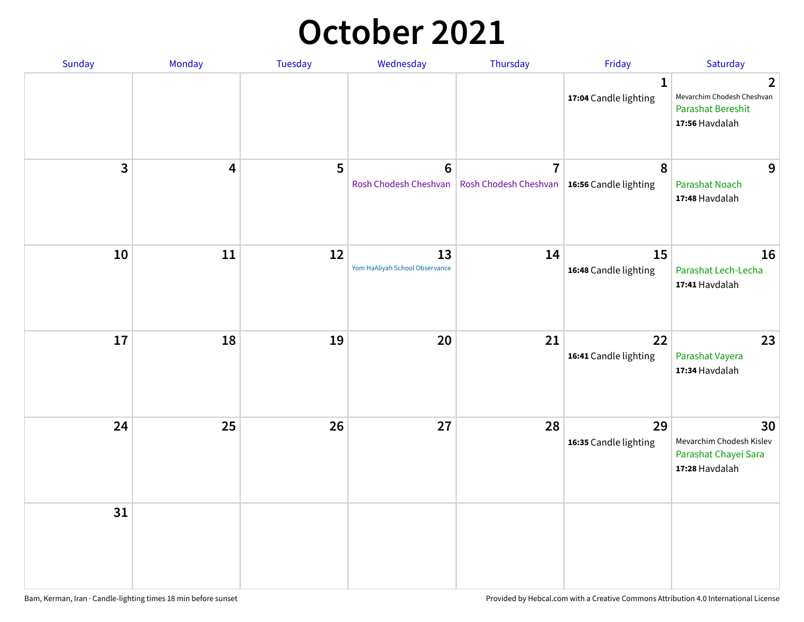#### **October 2021**

| Sunday       | Monday | Tuesday | Wednesday                            | Thursday                                                        | Friday                                | Saturday                                                                                   |
|--------------|--------|---------|--------------------------------------|-----------------------------------------------------------------|---------------------------------------|--------------------------------------------------------------------------------------------|
|              |        |         |                                      |                                                                 | $\mathbf{1}$<br>17:04 Candle lighting | $\overline{2}$<br>Mevarchim Chodesh Cheshvan<br><b>Parashat Bereshit</b><br>17:56 Havdalah |
| $\mathbf{3}$ | 4      | 5       | $\bf 6$<br>Rosh Chodesh Cheshvan     | $\overline{7}$<br>Rosh Chodesh Cheshvan   16:56 Candle lighting | 8                                     | 9<br><b>Parashat Noach</b><br>17:48 Havdalah                                               |
| 10           | 11     | 12      | 13<br>Yom HaAliyah School Observance | 14                                                              | 15<br>16:48 Candle lighting           | 16<br>Parashat Lech-Lecha<br>17:41 Havdalah                                                |
| 17           | 18     | 19      | 20                                   | 21                                                              | 22<br>16:41 Candle lighting           | 23<br>Parashat Vayera<br>17:34 Havdalah                                                    |
| 24           | 25     | 26      | 27                                   | 28                                                              | 29<br>16:35 Candle lighting           | 30<br>Mevarchim Chodesh Kislev<br>Parashat Chayei Sara<br>17:28 Havdalah                   |
| 31           |        |         |                                      |                                                                 |                                       |                                                                                            |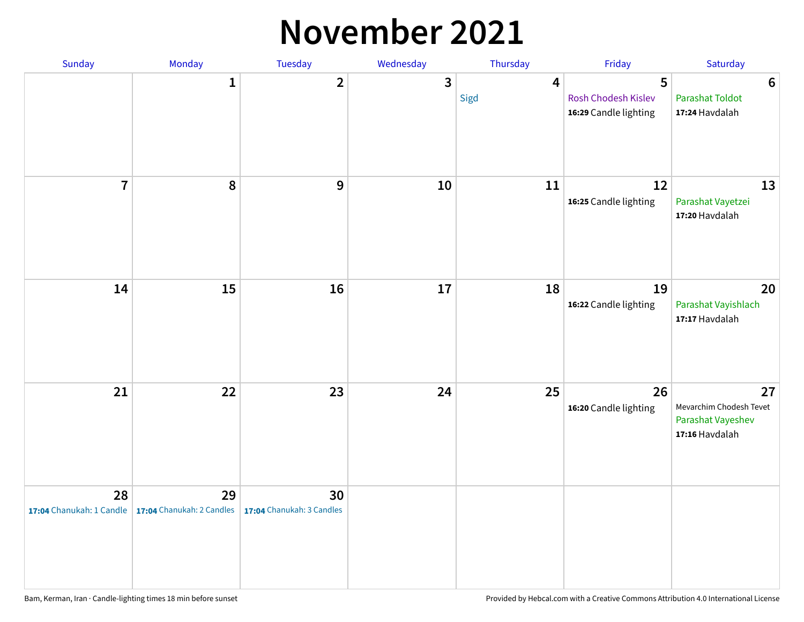#### **November 2021**

| Sunday         | Monday                                                   | Tuesday                         | Wednesday    | Thursday               | Friday                                            | Saturday                                                             |
|----------------|----------------------------------------------------------|---------------------------------|--------------|------------------------|---------------------------------------------------|----------------------------------------------------------------------|
|                | $\mathbf{1}$                                             | $\mathbf{2}$                    | $\mathbf{3}$ | $\overline{4}$<br>Sigd | 5<br>Rosh Chodesh Kislev<br>16:29 Candle lighting | $\boldsymbol{6}$<br><b>Parashat Toldot</b><br>17:24 Havdalah         |
| $\overline{7}$ | 8                                                        | 9                               | $10\,$       | 11                     | 12<br>16:25 Candle lighting                       | 13<br>Parashat Vayetzei<br>17:20 Havdalah                            |
| 14             | 15                                                       | 16                              | 17           | 18                     | 19<br>16:22 Candle lighting                       | 20<br>Parashat Vayishlach<br>17:17 Havdalah                          |
| 21             | 22                                                       | 23                              | 24           | 25                     | 26<br>16:20 Candle lighting                       | 27<br>Mevarchim Chodesh Tevet<br>Parashat Vayeshev<br>17:16 Havdalah |
| 28             | 29<br>17:04 Chanukah: 1 Candle 17:04 Chanukah: 2 Candles | 30<br>17:04 Chanukah: 3 Candles |              |                        |                                                   |                                                                      |